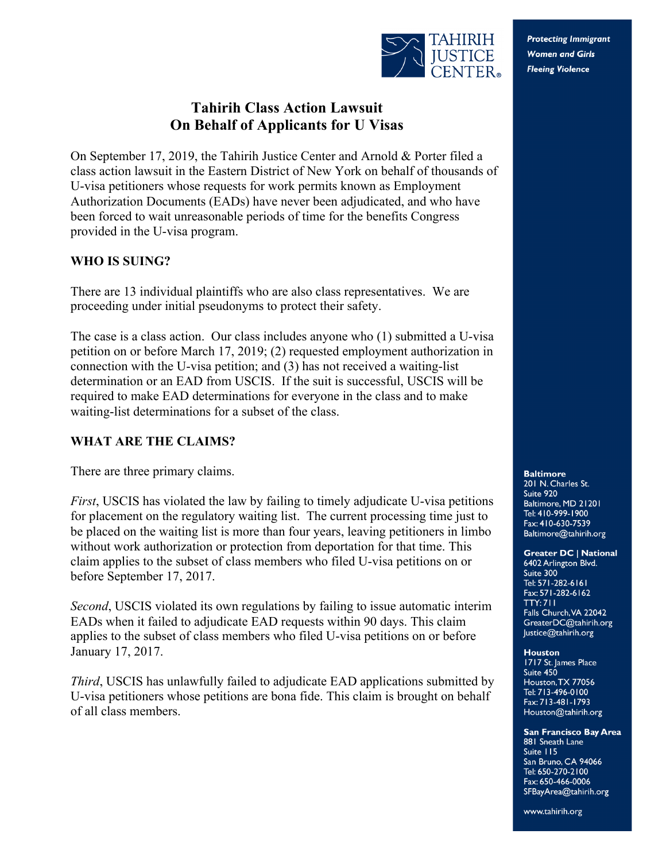

**Protecting Immigrant Women and Girls Fleeing Violence** 

# **Tahirih Class Action Lawsuit On Behalf of Applicants for U Visas**

On September 17, 2019, the Tahirih Justice Center and Arnold & Porter filed a class action lawsuit in the Eastern District of New York on behalf of thousands of U-visa petitioners whose requests for work permits known as Employment Authorization Documents (EADs) have never been adjudicated, and who have been forced to wait unreasonable periods of time for the benefits Congress provided in the U-visa program.

### **WHO IS SUING?**

There are 13 individual plaintiffs who are also class representatives. We are proceeding under initial pseudonyms to protect their safety.

The case is a class action. Our class includes anyone who (1) submitted a U-visa petition on or before March 17, 2019; (2) requested employment authorization in connection with the U-visa petition; and (3) has not received a waiting-list determination or an EAD from USCIS. If the suit is successful, USCIS will be required to make EAD determinations for everyone in the class and to make waiting-list determinations for a subset of the class.

### **WHAT ARE THE CLAIMS?**

There are three primary claims.

*First*, USCIS has violated the law by failing to timely adjudicate U-visa petitions for placement on the regulatory waiting list. The current processing time just to be placed on the waiting list is more than four years, leaving petitioners in limbo without work authorization or protection from deportation for that time. This claim applies to the subset of class members who filed U-visa petitions on or before September 17, 2017.

*Second*, USCIS violated its own regulations by failing to issue automatic interim EADs when it failed to adjudicate EAD requests within 90 days. This claim applies to the subset of class members who filed U-visa petitions on or before January 17, 2017.

*Third*, USCIS has unlawfully failed to adjudicate EAD applications submitted by U-visa petitioners whose petitions are bona fide. This claim is brought on behalf of all class members.

**Baltimore** 201 N. Charles St. Suite 920 Baltimore, MD 21201 Tel: 410-999-1900 Fax: 410-630-7539 Baltimore@tahirih.org

#### **Greater DC | National**

6402 Arlington Blvd. Suite 300 Tel: 571-282-6161 Fax: 571-282-6162 **TTY: 711** Falls Church, VA 22042 GreaterDC@tahirih.org Justice@tahirih.org

**Houston** 1717 St. James Place Suite 450 Houston, TX 77056 Tel: 713-496-0100 Fax: 713-481-1793 Houston@tahirih.org

#### **San Francisco Bay Area**

881 Sneath Lane Suite 115 San Bruno, CA 94066 Tel: 650-270-2100 Fax: 650-466-0006 SFBayArea@tahirih.org

www.tahirih.org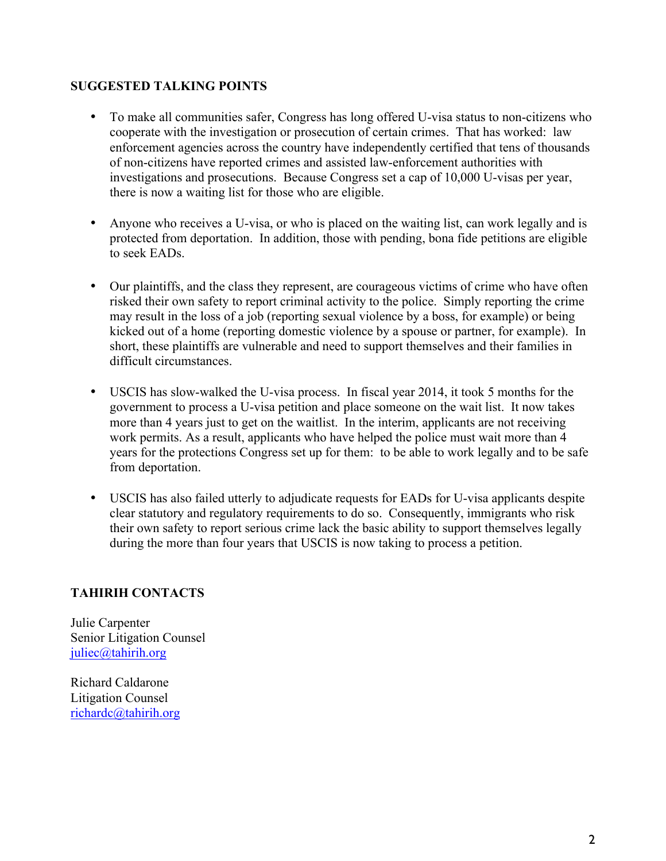### **SUGGESTED TALKING POINTS**

- To make all communities safer, Congress has long offered U-visa status to non-citizens who cooperate with the investigation or prosecution of certain crimes. That has worked: law enforcement agencies across the country have independently certified that tens of thousands of non-citizens have reported crimes and assisted law-enforcement authorities with investigations and prosecutions. Because Congress set a cap of 10,000 U-visas per year, there is now a waiting list for those who are eligible.
- Anyone who receives a U-visa, or who is placed on the waiting list, can work legally and is protected from deportation. In addition, those with pending, bona fide petitions are eligible to seek EADs.
- Our plaintiffs, and the class they represent, are courageous victims of crime who have often risked their own safety to report criminal activity to the police. Simply reporting the crime may result in the loss of a job (reporting sexual violence by a boss, for example) or being kicked out of a home (reporting domestic violence by a spouse or partner, for example). In short, these plaintiffs are vulnerable and need to support themselves and their families in difficult circumstances.
- USCIS has slow-walked the U-visa process. In fiscal year 2014, it took 5 months for the government to process a U-visa petition and place someone on the wait list. It now takes more than 4 years just to get on the waitlist. In the interim, applicants are not receiving work permits. As a result, applicants who have helped the police must wait more than 4 years for the protections Congress set up for them: to be able to work legally and to be safe from deportation.
- USCIS has also failed utterly to adjudicate requests for EADs for U-visa applicants despite clear statutory and regulatory requirements to do so. Consequently, immigrants who risk their own safety to report serious crime lack the basic ability to support themselves legally during the more than four years that USCIS is now taking to process a petition.

## **TAHIRIH CONTACTS**

Julie Carpenter Senior Litigation Counsel juliec@tahirih.org

Richard Caldarone Litigation Counsel richardc@tahirih.org